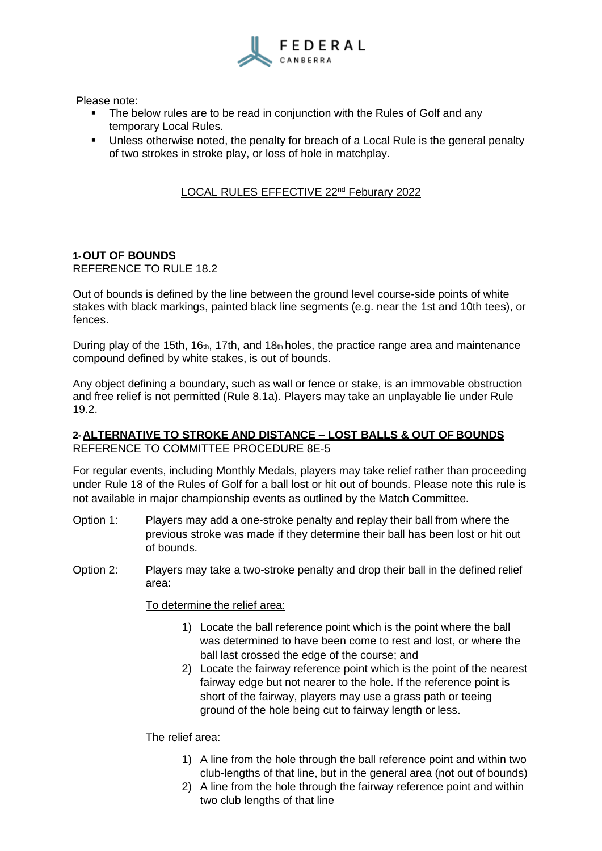

Please note:

- The below rules are to be read in conjunction with the Rules of Golf and any temporary Local Rules.
- **•** Unless otherwise noted, the penalty for breach of a Local Rule is the general penalty of two strokes in stroke play, or loss of hole in matchplay.

# LOCAL RULES EFFECTIVE 22<sup>nd</sup> Feburary 2022

#### **1-OUT OF BOUNDS** REFERENCE TO RULE 18.2

Out of bounds is defined by the line between the ground level course-side points of white stakes with black markings, painted black line segments (e.g. near the 1st and 10th tees), or fences.

During play of the 15th, 16th, 17th, and 18th holes, the practice range area and maintenance compound defined by white stakes, is out of bounds.

Any object defining a boundary, such as wall or fence or stake, is an immovable obstruction and free relief is not permitted (Rule 8.1a). Players may take an unplayable lie under Rule 19.2.

# **2-ALTERNATIVE TO STROKE AND DISTANCE – LOST BALLS & OUT OF BOUNDS** REFERENCE TO COMMITTEE PROCEDURE 8E-5

For regular events, including Monthly Medals, players may take relief rather than proceeding under Rule 18 of the Rules of Golf for a ball lost or hit out of bounds. Please note this rule is not available in major championship events as outlined by the Match Committee.

- Option 1: Players may add a one-stroke penalty and replay their ball from where the previous stroke was made if they determine their ball has been lost or hit out of bounds.
- Option 2: Players may take a two-stroke penalty and drop their ball in the defined relief area:

To determine the relief area:

- 1) Locate the ball reference point which is the point where the ball was determined to have been come to rest and lost, or where the ball last crossed the edge of the course; and
- 2) Locate the fairway reference point which is the point of the nearest fairway edge but not nearer to the hole. If the reference point is short of the fairway, players may use a grass path or teeing ground of the hole being cut to fairway length or less.

## The relief area:

- 1) A line from the hole through the ball reference point and within two club-lengths of that line, but in the general area (not out of bounds)
- 2) A line from the hole through the fairway reference point and within two club lengths of that line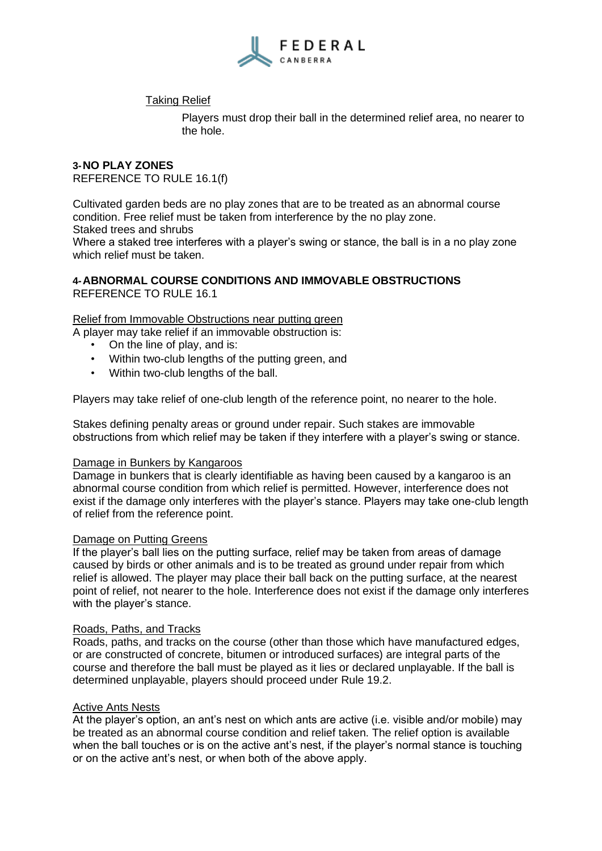

## Taking Relief

Players must drop their ball in the determined relief area, no nearer to the hole.

# **3-NO PLAY ZONES** REFERENCE TO RULE 16.1(f)

Cultivated garden beds are no play zones that are to be treated as an abnormal course condition. Free relief must be taken from interference by the no play zone. Staked trees and shrubs

Where a staked tree interferes with a player's swing or stance, the ball is in a no play zone which relief must be taken.

#### **4-ABNORMAL COURSE CONDITIONS AND IMMOVABLE OBSTRUCTIONS** REFERENCE TO RULE 16.1

## Relief from Immovable Obstructions near putting green

A player may take relief if an immovable obstruction is:

- On the line of play, and is:
- Within two-club lengths of the putting green, and
- Within two-club lengths of the ball.

Players may take relief of one-club length of the reference point, no nearer to the hole.

Stakes defining penalty areas or ground under repair. Such stakes are immovable obstructions from which relief may be taken if they interfere with a player's swing or stance.

#### Damage in Bunkers by Kangaroos

Damage in bunkers that is clearly identifiable as having been caused by a kangaroo is an abnormal course condition from which relief is permitted. However, interference does not exist if the damage only interferes with the player's stance. Players may take one-club length of relief from the reference point.

#### Damage on Putting Greens

If the player's ball lies on the putting surface, relief may be taken from areas of damage caused by birds or other animals and is to be treated as ground under repair from which relief is allowed. The player may place their ball back on the putting surface, at the nearest point of relief, not nearer to the hole. Interference does not exist if the damage only interferes with the player's stance.

#### Roads, Paths, and Tracks

Roads, paths, and tracks on the course (other than those which have manufactured edges, or are constructed of concrete, bitumen or introduced surfaces) are integral parts of the course and therefore the ball must be played as it lies or declared unplayable. If the ball is determined unplayable, players should proceed under Rule 19.2.

#### Active Ants Nests

At the player's option, an ant's nest on which ants are active (i.e. visible and/or mobile) may be treated as an abnormal course condition and relief taken. The relief option is available when the ball touches or is on the active ant's nest, if the player's normal stance is touching or on the active ant's nest, or when both of the above apply.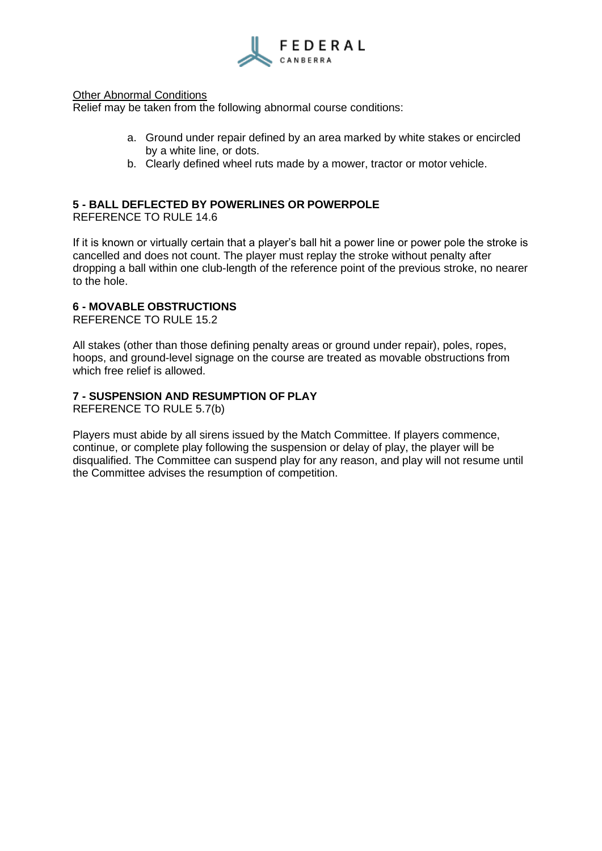

#### Other Abnormal Conditions

Relief may be taken from the following abnormal course conditions:

- a. Ground under repair defined by an area marked by white stakes or encircled by a white line, or dots.
- b. Clearly defined wheel ruts made by a mower, tractor or motor vehicle.

## **5 - BALL DEFLECTED BY POWERLINES OR POWERPOLE**

REFERENCE TO RULE 14.6

If it is known or virtually certain that a player's ball hit a power line or power pole the stroke is cancelled and does not count. The player must replay the stroke without penalty after dropping a ball within one club-length of the reference point of the previous stroke, no nearer to the hole.

## **6 - MOVABLE OBSTRUCTIONS**

REFERENCE TO RULE 15.2

All stakes (other than those defining penalty areas or ground under repair), poles, ropes, hoops, and ground-level signage on the course are treated as movable obstructions from which free relief is allowed.

## **7 - SUSPENSION AND RESUMPTION OF PLAY**

REFERENCE TO RULE 5.7(b)

Players must abide by all sirens issued by the Match Committee. If players commence, continue, or complete play following the suspension or delay of play, the player will be disqualified. The Committee can suspend play for any reason, and play will not resume until the Committee advises the resumption of competition.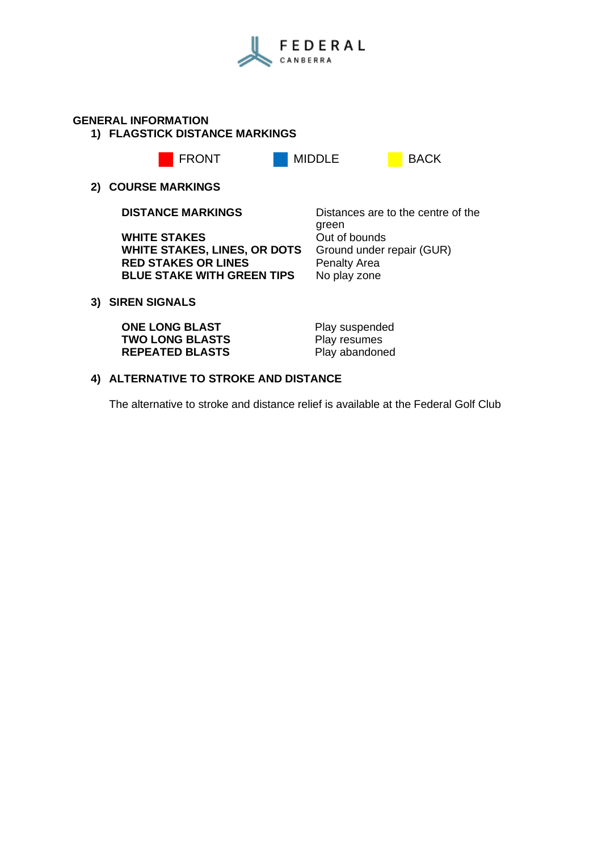

## **GENERAL INFORMATION**

**1) FLAGSTICK DISTANCE MARKINGS**



## **2) COURSE MARKINGS**

**WHITE STAKES** Out of bounds<br> **WHITE STAKES, LINES, OR DOTS** Ground under repair (GUR) **WHITE STAKES, LINES, OR DOTS** Ground under<br>RED STAKES OR LINES Penalty Area **RED STAKES OR LINES BLUE STAKE WITH GREEN TIPS** No play zone

**DISTANCE MARKINGS** Distances are to the centre of the green<br>Out of bounds

# **3) SIREN SIGNALS**

**ONE LONG BLAST** Play suspended<br> **TWO LONG BLASTS** Play resumes **TWO LONG BLASTS REPEATED BLASTS** Play abandoned

# **4) ALTERNATIVE TO STROKE AND DISTANCE**

The alternative to stroke and distance relief is available at the Federal Golf Club